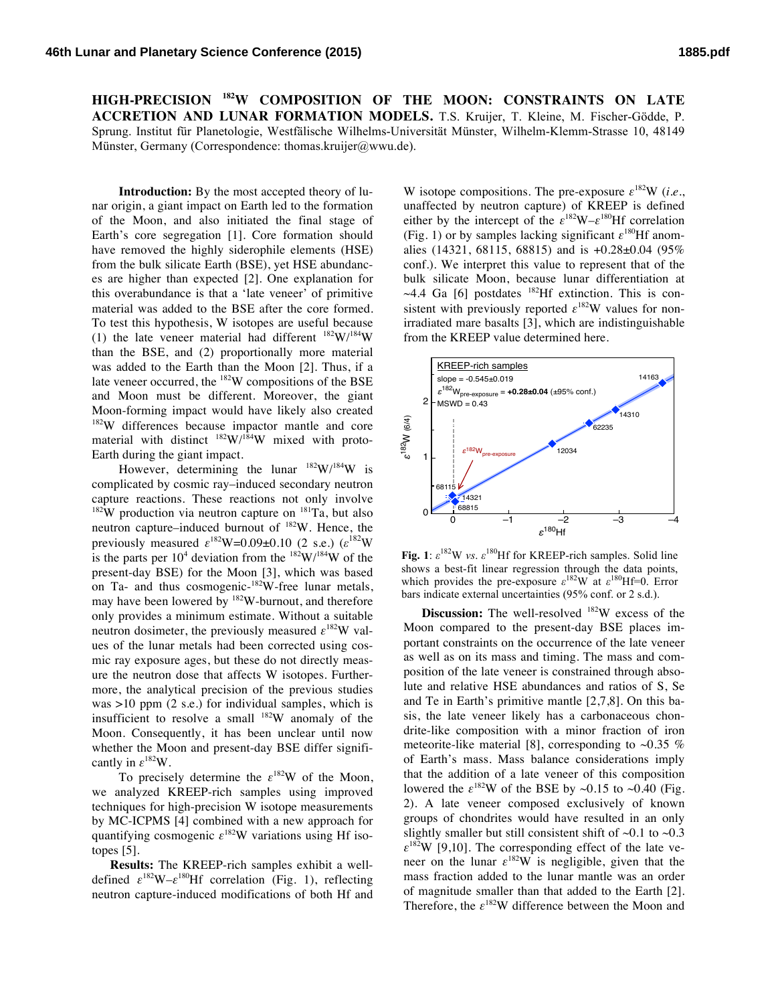**HIGH-PRECISION 182W COMPOSITION OF THE MOON: CONSTRAINTS ON LATE ACCRETION AND LUNAR FORMATION MODELS.** T.S. Kruijer, T. Kleine, M. Fischer-Gödde, P. Sprung. Institut für Planetologie, Westfälische Wilhelms-Universität Münster, Wilhelm-Klemm-Strasse 10, 48149 Münster, Germany (Correspondence: thomas.kruijer@wwu.de).

**Introduction:** By the most accepted theory of lunar origin, a giant impact on Earth led to the formation of the Moon, and also initiated the final stage of Earth's core segregation [1]. Core formation should have removed the highly siderophile elements (HSE) from the bulk silicate Earth (BSE), yet HSE abundances are higher than expected [2]. One explanation for this overabundance is that a 'late veneer' of primitive material was added to the BSE after the core formed. To test this hypothesis, W isotopes are useful because (1) the late veneer material had different  $182 \text{W}/184 \text{W}$ than the BSE, and (2) proportionally more material was added to the Earth than the Moon [2]. Thus, if a late veneer occurred, the 182W compositions of the BSE and Moon must be different. Moreover, the giant Moon-forming impact would have likely also created 182W differences because impactor mantle and core material with distinct  $^{182}$ W/<sup>184</sup>W mixed with proto-Earth during the giant impact.

However, determining the lunar  $^{182}$ W/ $^{184}$ W is complicated by cosmic ray–induced secondary neutron capture reactions. These reactions not only involve  $182W$  production via neutron capture on  $181Ta$ , but also neutron capture–induced burnout of  $182$ W. Hence, the previously measured  $\varepsilon^{182}$ W=0.09±0.10 (2 s.e.)  $(\varepsilon^{182}$ W is the parts per  $10^4$  deviation from the  $182 \text{W}/184 \text{W}$  of the present-day BSE) for the Moon [3], which was based on Ta- and thus cosmogenic-<sup>182</sup>W-free lunar metals, may have been lowered by  $182W$ -burnout, and therefore only provides a minimum estimate. Without a suitable neutron dosimeter, the previously measured  $\varepsilon^{182}$ W values of the lunar metals had been corrected using cosmic ray exposure ages, but these do not directly measure the neutron dose that affects W isotopes. Furthermore, the analytical precision of the previous studies was >10 ppm (2 s.e.) for individual samples, which is insufficient to resolve a small  $182W$  anomaly of the Moon. Consequently, it has been unclear until now whether the Moon and present-day BSE differ significantly in *ε*182W.

To precisely determine the  $\varepsilon^{182}$ W of the Moon, we analyzed KREEP-rich samples using improved techniques for high-precision W isotope measurements by MC-ICPMS [4] combined with a new approach for quantifying cosmogenic  $\varepsilon^{182}W$  variations using Hf isotopes [5].

**Results:** The KREEP-rich samples exhibit a welldefined  $\varepsilon^{182}W - \varepsilon^{180}Hf$  correlation (Fig. 1), reflecting neutron capture-induced modifications of both Hf and W isotope compositions. The pre-exposure  $\varepsilon^{182}$ W (*i.e.*, unaffected by neutron capture) of KREEP is defined either by the intercept of the  $\varepsilon^{182}W - \varepsilon^{180}Hf$  correlation (Fig. 1) or by samples lacking significant  $\varepsilon^{180}$ Hf anomalies (14321, 68115, 68815) and is +0.28±0.04 (95% conf.). We interpret this value to represent that of the bulk silicate Moon, because lunar differentiation at  $\sim$ 4.4 Ga [6] postdates  $^{182}$ Hf extinction. This is consistent with previously reported  $\varepsilon^{182}$ W values for nonirradiated mare basalts [3], which are indistinguishable from the KREEP value determined here.



**Fig.** 1:  $\varepsilon^{182}$ W *vs.*  $\varepsilon^{180}$ Hf for KREEP-rich samples. Solid line shows a best-fit linear regression through the data points, which provides the pre-exposure  $\varepsilon^{182}$ W at  $\varepsilon^{180}$ Hf=0. Error bars indicate external uncertainties (95% conf. or 2 s.d.).

**Discussion:** The well-resolved <sup>182</sup>W excess of the Moon compared to the present-day BSE places important constraints on the occurrence of the late veneer as well as on its mass and timing. The mass and composition of the late veneer is constrained through absolute and relative HSE abundances and ratios of S, Se and Te in Earth's primitive mantle [2,7,8]. On this basis, the late veneer likely has a carbonaceous chondrite-like composition with a minor fraction of iron meteorite-like material [8], corresponding to  $\sim 0.35$  % of Earth's mass. Mass balance considerations imply that the addition of a late veneer of this composition lowered the  $\varepsilon^{182}$ W of the BSE by ~0.15 to ~0.40 (Fig. 2). A late veneer composed exclusively of known groups of chondrites would have resulted in an only slightly smaller but still consistent shift of  $\sim 0.1$  to  $\sim 0.3$  $\varepsilon^{182}$ W [9,10]. The corresponding effect of the late veneer on the lunar  $\varepsilon^{182}W$  is negligible, given that the mass fraction added to the lunar mantle was an order of magnitude smaller than that added to the Earth [2]. Therefore, the *ε*182W difference between the Moon and